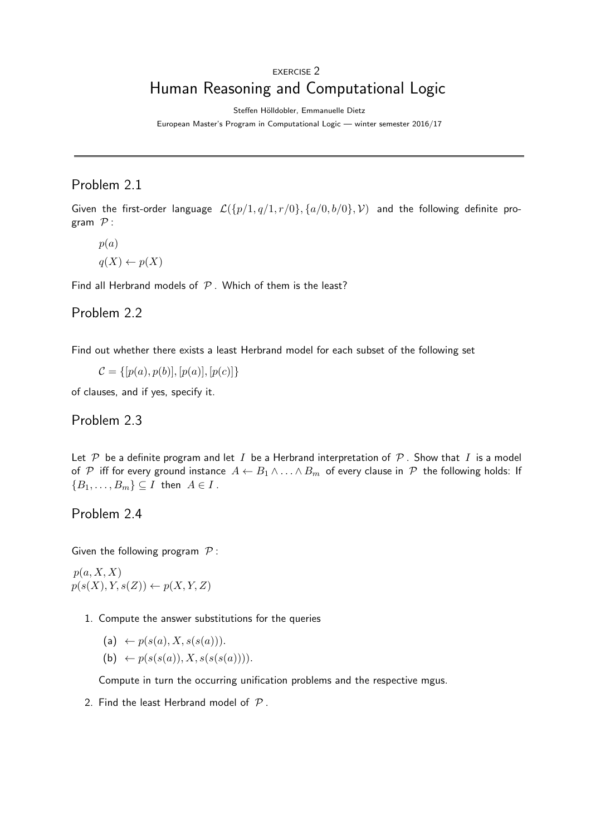# EXERCISE 2 Human Reasoning and Computational Logic

Steffen Hölldobler, Emmanuelle Dietz

European Master's Program in Computational Logic — winter semester 2016/17

### Problem 2.1

Given the first-order language  $\mathcal{L}(\{p/1, q/1, r/0\}, \{a/0, b/0\}, \mathcal{V})$  and the following definite program  $P$  :

 $p(a)$ 

 $q(X) \leftarrow p(X)$ 

Find all Herbrand models of  $P$ . Which of them is the least?

#### Problem 2.2

Find out whether there exists a least Herbrand model for each subset of the following set

 $\mathcal{C} = \{ [p(a), p(b)], [p(a)], [p(c)] \}$ 

of clauses, and if yes, specify it.

Problem 2.3

Let P be a definite program and let I be a Herbrand interpretation of P. Show that I is a model of P iff for every ground instance  $A \leftarrow B_1 \wedge ... \wedge B_m$  of every clause in P the following holds: If  ${B_1, \ldots, B_m} \subseteq I$  then  $A \in I$ .

Problem 2.4

Given the following program  $P$ :

 $p(a, X, X)$  $p(s(X), Y, s(Z)) \leftarrow p(X, Y, Z)$ 

- 1. Compute the answer substitutions for the queries
	- (a)  $\leftarrow p(s(a), X, s(s(a))).$
	- (b)  $\leftarrow p(s(s(a)), X, s(s(s(a))))$ .

Compute in turn the occurring unification problems and the respective mgus.

2. Find the least Herbrand model of  $P$ .